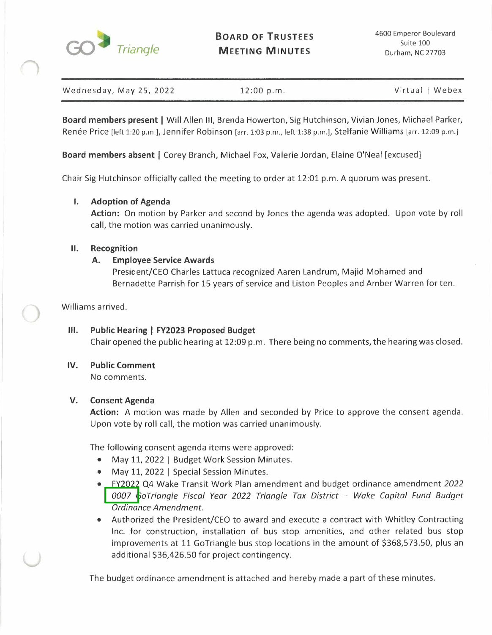

Wednesday, May 25, 2022 12:00 p.m. Communication of Virtual | Webex

**Board members present** I Will Allen Ill, Brenda Howerton, Sig Hutchinson, Vivian Jones, Michael Parker, Renée Price [left 1:20 p.m.], Jennifer Robinson [arr. 1:03 p.m., left 1:38 p.m.], Stelfanie Williams [arr. 12:09 p.m.]

**Board members absent** I Corey Branch, Michael Fox, Valerie Jordan, Elaine O'Neal [excused]

Chair Sig Hutchinson officially called the meeting to order at 12:01 p.m. A quorum was present.

## **I. Adoption of Agenda**

**Action:** On motion by Parker and second by Jones the agenda was adopted. Upon vote by roll call, the motion was carried unanimously.

### **II. Recognition**

## **A. Employee Service Awards**

President/CEO Charles Lattuca recognized Aaren Landrum, Majid Mohamed and Bernadette Parrish for 15 years of service and Liston Peoples and Amber Warren for ten.

Williams arrived.

**Ill. Public Hearing I FY2023 Proposed Budget**  Chair opened the public hearing at 12:09 p.m. There being no comments, the hearing was closed.

# **IV. Public Comment**

No comments.

## **V. Consent Agenda**

**Action:** A motion was made by Allen and seconded by Price to approve the consent agenda. Upon vote by roll call, the motion was carried unanimously.

The following consent agenda items were approved:

- May 11, 2022 | Budget Work Session Minutes.
- May 11, 2022 | Special Session Minutes.
- FY2022 Q4 Wake Transit Work Plan amendment and budget ordinance amendment *2022*  0007 *GoTriangle Fiscal Year 2022 Triangle Tax District - Wake Capital Fund Budget Ordinance Amendment.*
- Authorized the President/CEO to award and execute a contract with Whitley Contracting Inc. for construction, installation of bus stop amenities, and other related bus stop improvements at 11 GoTriangle bus stop locations in the amount of \$368,573.50, plus an additional \$36,426.50 for project contingency.

The budget ordinance amendment is attached and hereby made a part of these minutes.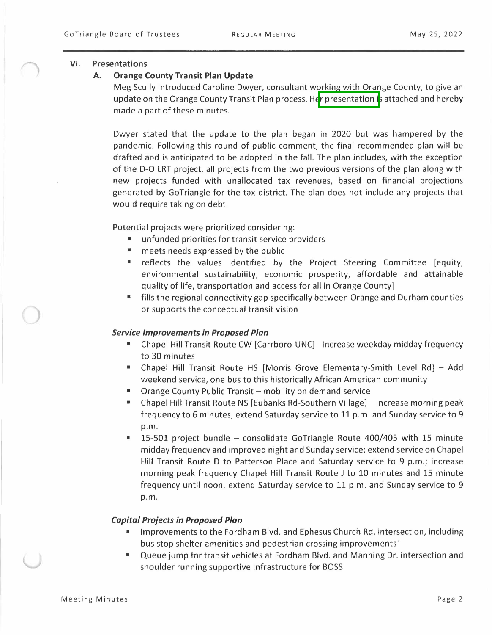#### **VI. Presentations**

#### **A. Orange County Transit Plan Update**

Meg Scully introduced Caroline Dwyer, consultant working with Orange County, to give an update on the Orange County Transit Plan process. Her presentation is attached and hereby made a part of these minutes.

Dwyer stated that the update to the plan began in 2020 but was hampered by the pandemic. Following this round of public comment, the final recommended plan will be drafted and is anticipated to be adopted in the fall. The plan includes, with the exception of the D-O LRT project, all projects from the two previous versions of the plan along with new projects funded with unallocated tax revenues, based on financial projections generated by GoTriangle for the tax district. The plan does not include any projects that would require taking on debt.

Potential projects were prioritized considering:

- unfunded priorities for transit service providers
- meets needs expressed by the public
- reflects the values identified by the Project Steering Committee [equity, environmental sustainability, economic prosperity, affordable and attainable quality of life, transportation and access for all in Orange County]
- fills the regional connectivity gap specifically between Orange and Durham counties or supports the conceptual transit vision

#### *Service Improvements in Proposed Plan*

- Chapel Hill Transit Route CW [Carrboro-UNC] Increase weekday midday frequency to 30 minutes
- Chapel Hill Transit Route HS [Morris Grove Elementary-Smith Level Rd] Add weekend service, one bus to this historically African American community
- Orange County Public Transit mobility on demand service
- Chapel Hill Transit Route NS [Eubanks Rd-Southern Village] Increase morning peak frequency to 6 minutes, extend Saturday service to 11 p.m. and Sunday service to 9 p.m.
- $\blacksquare$  15-501 project bundle consolidate GoTriangle Route 400/405 with 15 minute midday frequency and improved night and Sunday service; extend service on Chapel Hill Transit Route D to Patterson Place and Saturday service to 9 p.m.; increase morning peak frequency Chapel Hill Transit Route J to 10 minutes and 15 minute frequency until noon, extend Saturday service to 11 p.m. and Sunday service to 9 p.m.

### *Capital Projects in Proposed Plan*

- Improvements to the Fordham Blvd. and Ephesus Church Rd. intersection, including bus stop shelter amenities and pedestrian crossing improvements'
- Queue jump for transit vehicles at Fordham Blvd. and Manning Dr. intersection and shoulder running supportive infrastructure for BOSS

 $)$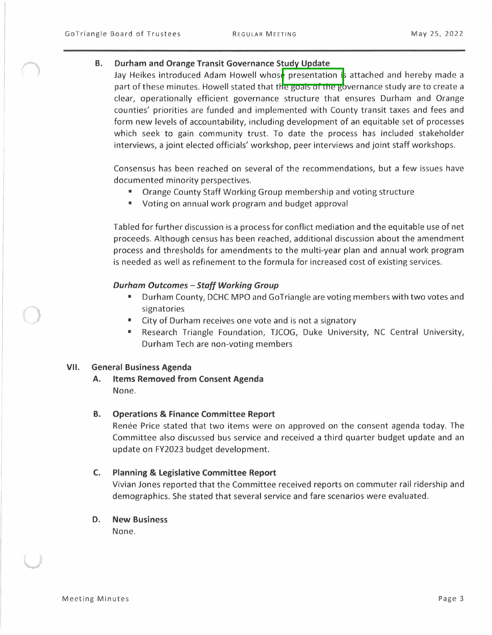### **B. Durham and Orange Transit Governance Study Update**

Jay Heikes introduced Adam Howell whose presentation is attached and hereby made a part of these minutes. Howell stated that the goals of the governance study are to create a clear, operationally efficient governance structure that ensures Durham and Orange counties' priorities are funded and implemented with County transit taxes and fees and form new levels of accountability, including development of an equitable set of processes which seek to gain community trust. To date the process has included stakeholder interviews, a joint elected officials' workshop, peer interviews and joint staff workshops.

Consensus has been reached on several of the recommendations, but a few issues have documented minority perspectives.

- Orange County Staff Working Group membership and voting structure
- Voting on annual work program and budget approval

Tabled for further discussion is a process for conflict mediation and the equitable use of net proceeds. Although census has been reached, additional discussion about the amendment process and thresholds for amendments to the multi-year plan and annual work program is needed as well as refinement to the formula for increased cost of existing services.

## *Durham Outcomes - Staff Working Group*

- Durham County, DCHC MPO and Go Triangle are voting members with two votes and signatories
- City of Durham receives one vote and is not a signatory
- Research Triangle Foundation, TJCOG, Duke University, NC Central University, Durham Tech are non-voting members

### **VII. General Business Agenda**

**A. Items Removed from Consent Agenda**  None.

### **B. Operations & Finance Committee Report**

Renée Price stated that two items were on approved on the consent agenda today. The Committee also discussed bus service and received a third quarter budget update and an update on FY2023 budget development.

## **C. Planning & Legislative Committee Report**

Vivian Jones reported that the Committee received reports on commuter rail ridership and demographics. She stated that several service and fare scenarios were evaluated.

**D. New Business**  None.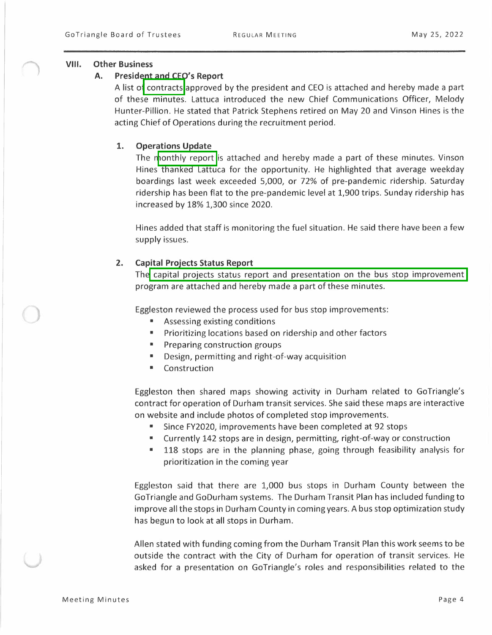### **VIII. Other Business**

### **A. President and CEO's Report**

A list of contracts approved by the president and CEO is attached and hereby made a part of these minutes. Lattuca introduced the new Chief Communications Officer, Melody Hunter-Pillion. He stated that Patrick Stephens retired on May 20 and Vinson Hines is the acting Chief of Operations during the recruitment period.

## **1. Operations Update**

The monthly report is attached and hereby made a part of these minutes. Vinson Hines thanked Lattuca for the opportunity. He highlighted that average weekday boardings last week exceeded 5,000, or 72% of pre-pandemic ridership. Saturday ridership has been flat to the pre-pandemic level at 1,900 trips. Sunday ridership has increased by 18% 1,300 since 2020.

Hines added that staff is monitoring the fuel situation. He said there have been a few supply issues.

## **2. Capital Projects Status Report**

The capital projects status report and presentation on the bus stop improvement program are attached and hereby made a part of these minutes.

Eggleston reviewed the process used for bus stop improvements:

- Assessing existing conditions
- Prioritizing locations based on ridership and other factors
- **Preparing construction groups**
- Design, permitting and right-of-way acquisition
- Construction

Eggleston then shared maps showing activity in Durham related to GoTriangle's contract for operation of Durham transit services. She said these maps are interactive on website and include photos of completed stop improvements.

- Since FY2020, improvements have been completed at 92 stops
- Currently 142 stops are in design, permitting, right-of-way or construction
- 118 stops are in the planning phase, going through feasibility analysis for prioritization in the coming year

Eggleston said that there are 1,000 bus stops in Durham County between the Go Triangle and GoDurham systems. The Durham Transit Plan has included funding to improve all the stops in Durham County in coming years. A bus stop optimization study has begun to look at all stops in Durham.

Allen stated with funding coming from the Durham Transit Plan this work seems to be outside the contract with the City of Durham for operation of transit services. He asked for a presentation on GoTriangle's roles and responsibilities related to the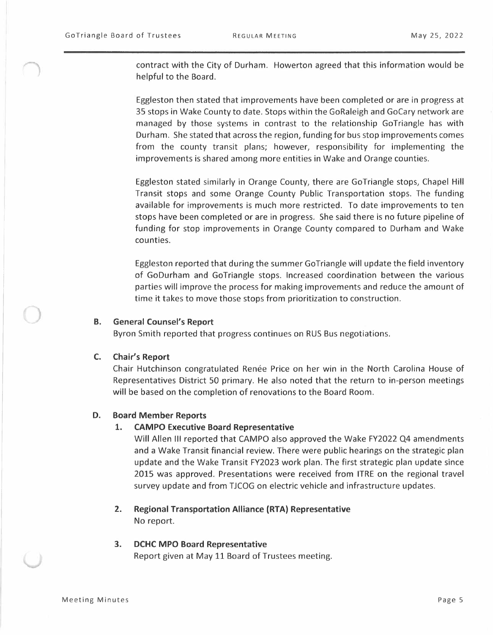contract with the City of Durham. Howerton agreed that this information would be helpful to the Board.

Eggleston then stated that improvements have been completed or are in progress at 35 stops in Wake County to date. Stops within the GoRaleigh and GoCary network are managed by those systems in contrast to the relationship GoTriangle has with Durham. She stated that across the region, funding for bus stop improvements comes from the county transit plans; however, responsibility for implementing the improvements is shared among more entities in Wake and Orange counties.

Eggleston stated similarly in Orange County, there are GoTriangle stops, Chapel Hill Transit stops and some Orange County Public Transportation stops. The funding available for improvements is much more restricted. To date improvements to ten stops have been completed or are in progress. She said there is no future pipeline of funding for stop improvements in Orange County compared to Durham and Wake counties.

Eggleston reported that during the summer Go Triangle will update the field inventory of GoDurham and GoTriangle stops. Increased coordination between the various parties will improve the process for making improvements and reduce the amount of time it takes to move those stops from prioritization to construction.

#### ) **B. General Counsel's Report**

Byron Smith reported that progress continues on RUS Bus negotiations.

#### **C. Chair's Report**

Chair Hutchinson congratulated Renée Price on her win in the North Carolina House of Representatives District 50 primary. He also noted that the return to in-person meetings will be based on the completion of renovations to the Board Room.

#### **D. Board Member Reports**

#### **1. CAMPO Executive Board Representative**

Will Allen Ill reported that CAMPO also approved the Wake FY2022 Q4 amendments and a Wake Transit financial review. There were public hearings on the strategic plan update and the Wake Transit FY2023 work plan. The first strategic plan update since 2015 was approved. Presentations were received from ITRE on the regional travel survey update and from TJCOG on electric vehicle and infrastructure updates.

## **2. Regional Transportation Alliance (RTA) Representative**  No report.

## **3. DCHC MPO Board Representative**  Report given at May 11 Board of Trustees meeting.